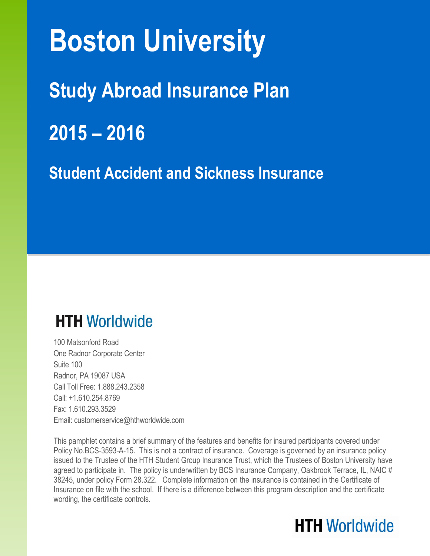# **Boston University**

**Study Abroad Insurance Plan**

**2015 – 2016**

**Student Accident and Sickness Insurance**

# **HTH Worldwide**

100 Matsonford Road One Radnor Corporate Center Suite 100 Radnor, PA 19087 USA Call Toll Free: 1.888.243.2358 Call: +1.610.254.8769 Fax: 1.610.293.3529 Email: customerservice@hthworldwide.com

This pamphlet contains a brief summary of the features and benefits for insured participants covered under Policy No.BCS-3593-A-15. This is not a contract of insurance. Coverage is governed by an insurance policy issued to the Trustee of the HTH Student Group Insurance Trust, which the Trustees of Boston University have agreed to participate in. The policy is underwritten by BCS Insurance Company, Oakbrook Terrace, IL, NAIC # 38245, under policy Form 28.322. Complete information on the insurance is contained in the Certificate of Insurance on file with the school. If there is a difference between this program description and the certificate wording, the certificate controls.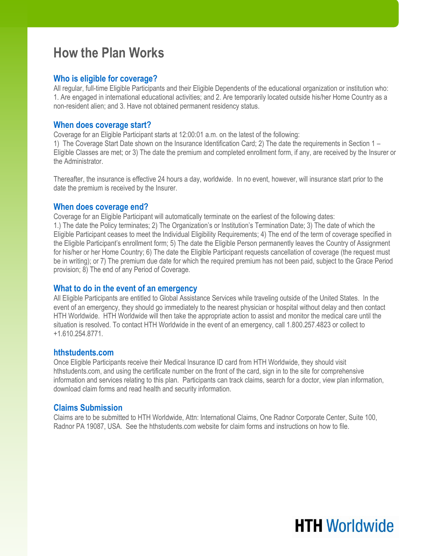### **How the Plan Works**

### **Who is eligible for coverage?**

All regular, full-time Eligible Participants and their Eligible Dependents of the educational organization or institution who: 1. Are engaged in international educational activities; and 2. Are temporarily located outside his/her Home Country as a non-resident alien; and 3. Have not obtained permanent residency status.

#### **When does coverage start?**

Coverage for an Eligible Participant starts at 12:00:01 a.m. on the latest of the following:

1) The Coverage Start Date shown on the Insurance Identification Card; 2) The date the requirements in Section 1 – Eligible Classes are met; or 3) The date the premium and completed enrollment form, if any, are received by the Insurer or the Administrator.

Thereafter, the insurance is effective 24 hours a day, worldwide. In no event, however, will insurance start prior to the date the premium is received by the Insurer.

#### **When does coverage end?**

Coverage for an Eligible Participant will automatically terminate on the earliest of the following dates: 1.) The date the Policy terminates; 2) The Organization's or Institution's Termination Date; 3) The date of which the Eligible Participant ceases to meet the Individual Eligibility Requirements; 4) The end of the term of coverage specified in the Eligible Participant's enrollment form; 5) The date the Eligible Person permanently leaves the Country of Assignment for his/her or her Home Country; 6) The date the Eligible Participant requests cancellation of coverage (the request must be in writing); or 7) The premium due date for which the required premium has not been paid, subject to the Grace Period provision; 8) The end of any Period of Coverage.

#### **What to do in the event of an emergency**

All Eligible Participants are entitled to Global Assistance Services while traveling outside of the United States. In the event of an emergency, they should go immediately to the nearest physician or hospital without delay and then contact HTH Worldwide. HTH Worldwide will then take the appropriate action to assist and monitor the medical care until the situation is resolved. To contact HTH Worldwide in the event of an emergency, call 1.800.257.4823 or collect to +1.610.254.8771.

#### **hthstudents.com**

Once Eligible Participants receive their Medical Insurance ID card from HTH Worldwide, they should visit hthstudents.com, and using the certificate number on the front of the card, sign in to the site for comprehensive information and services relating to this plan. Participants can track claims, search for a doctor, view plan information, download claim forms and read health and security information.

#### **Claims Submission**

Claims are to be submitted to HTH Worldwide, Attn: International Claims, One Radnor Corporate Center, Suite 100, Radnor PA 19087, USA. See the hthstudents.com website for claim forms and instructions on how to file.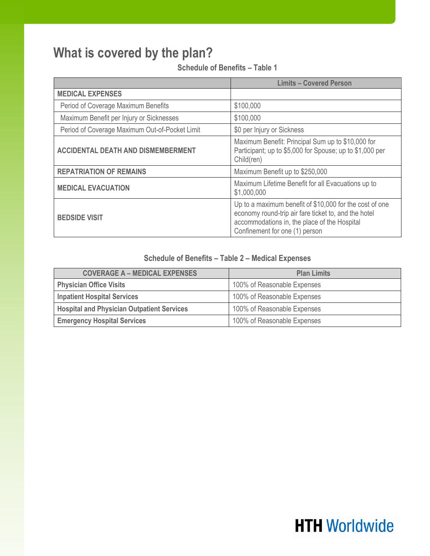### **What is covered by the plan?**

**Schedule of Benefits – Table 1**

|                                                | <b>Limits - Covered Person</b>                                                                                                                                                                    |
|------------------------------------------------|---------------------------------------------------------------------------------------------------------------------------------------------------------------------------------------------------|
| <b>MEDICAL EXPENSES</b>                        |                                                                                                                                                                                                   |
| Period of Coverage Maximum Benefits            | \$100,000                                                                                                                                                                                         |
| Maximum Benefit per Injury or Sicknesses       | \$100,000                                                                                                                                                                                         |
| Period of Coverage Maximum Out-of-Pocket Limit | \$0 per Injury or Sickness                                                                                                                                                                        |
| <b>ACCIDENTAL DEATH AND DISMEMBERMENT</b>      | Maximum Benefit: Principal Sum up to \$10,000 for<br>Participant; up to \$5,000 for Spouse; up to \$1,000 per<br>Child(ren)                                                                       |
| <b>REPATRIATION OF REMAINS</b>                 | Maximum Benefit up to \$250,000                                                                                                                                                                   |
| <b>MEDICAL EVACUATION</b>                      | Maximum Lifetime Benefit for all Evacuations up to<br>\$1,000,000                                                                                                                                 |
| <b>BEDSIDE VISIT</b>                           | Up to a maximum benefit of \$10,000 for the cost of one<br>economy round-trip air fare ticket to, and the hotel<br>accommodations in, the place of the Hospital<br>Confinement for one (1) person |

### **Schedule of Benefits – Table 2 – Medical Expenses**

| <b>COVERAGE A – MEDICAL EXPENSES</b>              | <b>Plan Limits</b>          |
|---------------------------------------------------|-----------------------------|
| <b>Physician Office Visits</b>                    | 100% of Reasonable Expenses |
| <b>Inpatient Hospital Services</b>                | 100% of Reasonable Expenses |
| <b>Hospital and Physician Outpatient Services</b> | 100% of Reasonable Expenses |
| <b>Emergency Hospital Services</b>                | 100% of Reasonable Expenses |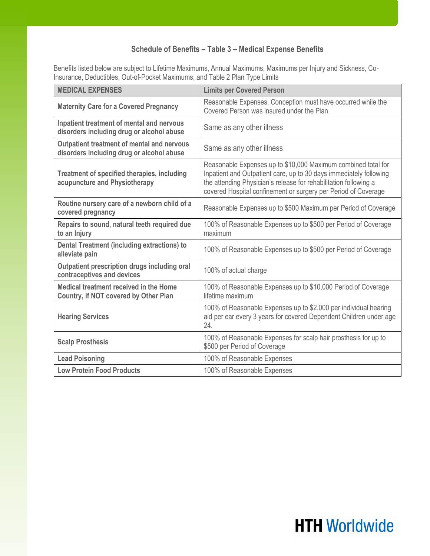### **Schedule of Benefits – Table 3 – Medical Expense Benefits**

Benefits listed below are subject to Lifetime Maximums, Annual Maximums, Maximums per Injury and Sickness, Co-Insurance, Deductibles, Out-of-Pocket Maximums; and Table 2 Plan Type Limits

| <b>MEDICAL EXPENSES</b>                                                                        | <b>Limits per Covered Person</b>                                                                                                                                                                                                                                          |
|------------------------------------------------------------------------------------------------|---------------------------------------------------------------------------------------------------------------------------------------------------------------------------------------------------------------------------------------------------------------------------|
| <b>Maternity Care for a Covered Pregnancy</b>                                                  | Reasonable Expenses. Conception must have occurred while the<br>Covered Person was insured under the Plan.                                                                                                                                                                |
| Inpatient treatment of mental and nervous<br>disorders including drug or alcohol abuse         | Same as any other illness                                                                                                                                                                                                                                                 |
| <b>Outpatient treatment of mental and nervous</b><br>disorders including drug or alcohol abuse | Same as any other illness                                                                                                                                                                                                                                                 |
| <b>Treatment of specified therapies, including</b><br>acupuncture and Physiotherapy            | Reasonable Expenses up to \$10,000 Maximum combined total for<br>Inpatient and Outpatient care, up to 30 days immediately following<br>the attending Physician's release for rehabilitation following a<br>covered Hospital confinement or surgery per Period of Coverage |
| Routine nursery care of a newborn child of a<br>covered pregnancy                              | Reasonable Expenses up to \$500 Maximum per Period of Coverage                                                                                                                                                                                                            |
| Repairs to sound, natural teeth required due<br>to an Injury                                   | 100% of Reasonable Expenses up to \$500 per Period of Coverage<br>maximum                                                                                                                                                                                                 |
| <b>Dental Treatment (including extractions) to</b><br>alleviate pain                           | 100% of Reasonable Expenses up to \$500 per Period of Coverage                                                                                                                                                                                                            |
| Outpatient prescription drugs including oral<br>contraceptives and devices                     | 100% of actual charge                                                                                                                                                                                                                                                     |
| Medical treatment received in the Home<br>Country, if NOT covered by Other Plan                | 100% of Reasonable Expenses up to \$10,000 Period of Coverage<br>lifetime maximum                                                                                                                                                                                         |
| <b>Hearing Services</b>                                                                        | 100% of Reasonable Expenses up to \$2,000 per individual hearing<br>aid per ear every 3 years for covered Dependent Children under age<br>24.                                                                                                                             |
| <b>Scalp Prosthesis</b>                                                                        | 100% of Reasonable Expenses for scalp hair prosthesis for up to<br>\$500 per Period of Coverage                                                                                                                                                                           |
| <b>Lead Poisoning</b>                                                                          | 100% of Reasonable Expenses                                                                                                                                                                                                                                               |
| <b>Low Protein Food Products</b>                                                               | 100% of Reasonable Expenses                                                                                                                                                                                                                                               |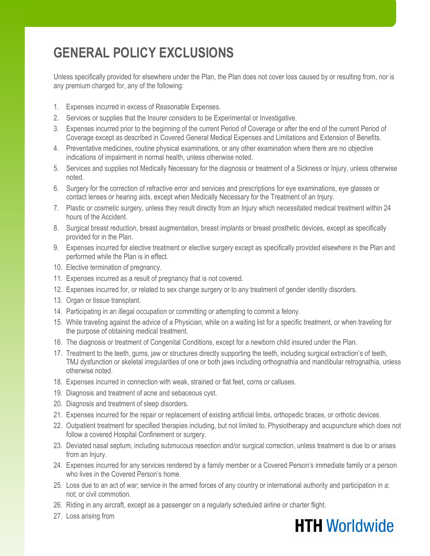### **GENERAL POLICY EXCLUSIONS**

Unless specifically provided for elsewhere under the Plan, the Plan does not cover loss caused by or resulting from, nor is any premium charged for, any of the following:

- 1. Expenses incurred in excess of Reasonable Expenses.
- 2. Services or supplies that the Insurer considers to be Experimental or Investigative.
- 3. Expenses incurred prior to the beginning of the current Period of Coverage or after the end of the current Period of Coverage except as described in Covered General Medical Expenses and Limitations and Extension of Benefits.
- 4. Preventative medicines, routine physical examinations, or any other examination where there are no objective indications of impairment in normal health, unless otherwise noted.
- 5. Services and supplies not Medically Necessary for the diagnosis or treatment of a Sickness or Injury, unless otherwise noted.
- 6. Surgery for the correction of refractive error and services and prescriptions for eye examinations, eye glasses or contact lenses or hearing aids, except when Medically Necessary for the Treatment of an Injury.
- 7. Plastic or cosmetic surgery, unless they result directly from an Injury which necessitated medical treatment within 24 hours of the Accident.
- 8. Surgical breast reduction, breast augmentation, breast implants or breast prosthetic devices, except as specifically provided for in the Plan.
- 9. Expenses incurred for elective treatment or elective surgery except as specifically provided elsewhere in the Plan and performed while the Plan is in effect.
- 10. Elective termination of pregnancy.
- 11. Expenses incurred as a result of pregnancy that is not covered.
- 12. Expenses incurred for, or related to sex change surgery or to any treatment of gender identity disorders.
- 13. Organ or tissue transplant.
- 14. Participating in an illegal occupation or committing or attempting to commit a felony.
- 15. While traveling against the advice of a Physician, while on a waiting list for a specific treatment, or when traveling for the purpose of obtaining medical treatment.
- 16. The diagnosis or treatment of Congenital Conditions, except for a newborn child insured under the Plan.
- 17. Treatment to the teeth, gums, jaw or structures directly supporting the teeth, including surgical extraction's of teeth, TMJ dysfunction or skeletal irregularities of one or both jaws including orthognathia and mandibular retrognathia, unless otherwise noted.
- 18. Expenses incurred in connection with weak, strained or flat feet, corns or calluses.
- 19. Diagnosis and treatment of acne and sebaceous cyst.
- 20. Diagnosis and treatment of sleep disorders.
- 21. Expenses incurred for the repair or replacement of existing artificial limbs, orthopedic braces, or orthotic devices.
- 22. Outpatient treatment for specified therapies including, but not limited to, Physiotherapy and acupuncture which does not follow a covered Hospital Confinement or surgery.
- 23. Deviated nasal septum, including submucous resection and/or surgical correction, unless treatment is due to or arises from an Injury.
- 24. Expenses incurred for any services rendered by a family member or a Covered Person's immediate family or a person who lives in the Covered Person's home.
- 25. Loss due to an act of war; service in the armed forces of any country or international authority and participation in a: riot; or civil commotion.
- 26. Riding in any aircraft, except as a passenger on a regularly scheduled airline or charter flight.
- 27. Loss arising from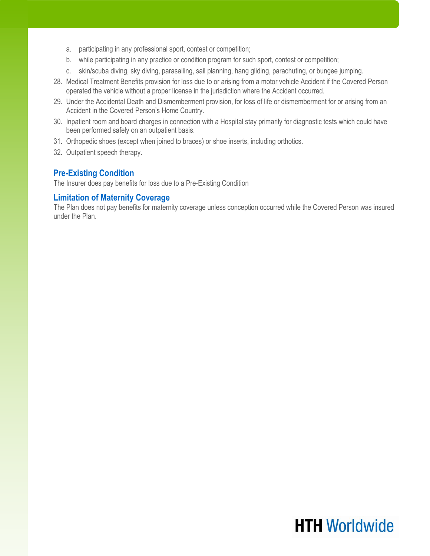- a. participating in any professional sport, contest or competition;
- b. while participating in any practice or condition program for such sport, contest or competition;
- c. skin/scuba diving, sky diving, parasailing, sail planning, hang gliding, parachuting, or bungee jumping.
- 28. Medical Treatment Benefits provision for loss due to or arising from a motor vehicle Accident if the Covered Person operated the vehicle without a proper license in the jurisdiction where the Accident occurred.
- 29. Under the Accidental Death and Dismemberment provision, for loss of life or dismemberment for or arising from an Accident in the Covered Person's Home Country.
- 30. Inpatient room and board charges in connection with a Hospital stay primarily for diagnostic tests which could have been performed safely on an outpatient basis.
- 31. Orthopedic shoes (except when joined to braces) or shoe inserts, including orthotics.
- 32. Outpatient speech therapy.

#### **Pre-Existing Condition**

The Insurer does pay benefits for loss due to a Pre-Existing Condition

#### **Limitation of Maternity Coverage**

The Plan does not pay benefits for maternity coverage unless conception occurred while the Covered Person was insured under the Plan.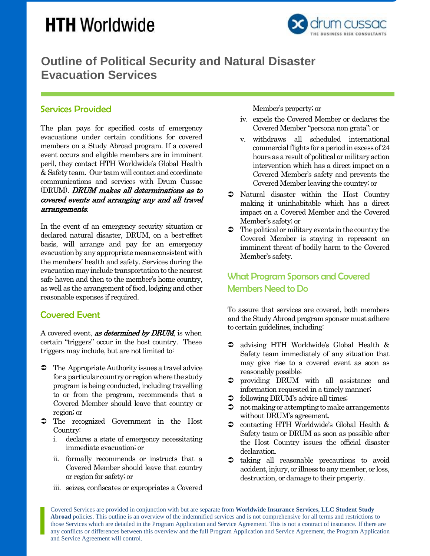# **HTH Worldwide**



### **Outline of Political Security and Natural Disaster Evacuation Services**

### Services Provided

The plan pays for specified costs of emergency evacuations under certain conditions for covered members on a Study Abroad program. If a covered event occurs and eligible members are in imminent peril, they contact HTH Worldwide's Global Health & Safety team. Our team will contact and coordinate communications and services with Drum Cussac (DRUM). DRUM makes all determinations as to covered events and arranging any and all travel arrangements.

In the event of an emergency security situation or declared natural disaster, DRUM, on a best-effort basis, will arrange and pay for an emergency evacuation by any appropriate means consistent with the members' health and safety. Services during the evacuation may include transportation to thenearest safe haven and then to the member's home country, as well as the arrangement of food, lodging and other reasonable expenses if required.

### Covered Event

A covered event, **as determined by DRUM**, is when certain "triggers" occur in the host country. These triggers may include, but are not limited to:

- $\supset$  The Appropriate Authority issues a travel advice for a particular country or region where the study program is being conducted, including travelling to or from the program, recommends that a Covered Member should leave that country or region; or
- $\bullet$  The recognized Government in the Host Country:
	- i. declares a state of emergency necessitating immediate evacuation; or
	- ii. formally recommends or instructs that a Covered Member should leave that country or region for safety; or
	- iii. seizes, confiscates or expropriates a Covered

Member's property; or

- iv. expels the Covered Member or declares the Covered Member "persona non grata"; or
- v. withdraws all scheduled international commercial flights for a period in excess of 24 hours as a result of political or military action intervention which has a direct impact on a Covered Member's safety and prevents the Covered Member leaving the country; or
- Natural disaster within the Host Country making it uninhabitable which has a direct impact on a Covered Member and the Covered Member's safety; or
- $\bullet$  The political or military events in the country the Covered Member is staying in represent an imminent threat of bodily harm to the Covered Member's safety.

### What Program Sponsors and Covered Members Need to Do

To assure that services are covered, both members and the Study Abroad program sponsor must adhere to certain guidelines, including:

- advising HTH Worldwide's Global Health & Safety team immediately of any situation that may give rise to a covered event as soon as reasonably possible;
- providing DRUM with all assistance and information requested in a timely manner;
- following DRUM's advice all times;
- $\bullet$  not making or attempting to make arrangements without DRUM's agreement.
- $\bullet$  contacting HTH Worldwide's Global Health & Safety team or DRUM as soon as possible after the Host Country issues the official disaster declaration.
- $\bullet$  taking all reasonable precautions to avoid accident, injury, or illness to any member, or loss, destruction, or damage to their property.

Covered Services are provided in conjunction with but are separate from **Worldwide Insurance Services, LLC Student Study Abroad** policies. This outline is an overview of the indemnified services and is not comprehensive for all terms and restrictions to those Services which are detailed in the Program Application and Service Agreement. This is not a contract of insurance. If there are any conflicts or differences between this overview and the full Program Application and Service Agreement, the Program Application and Service Agreement will control.